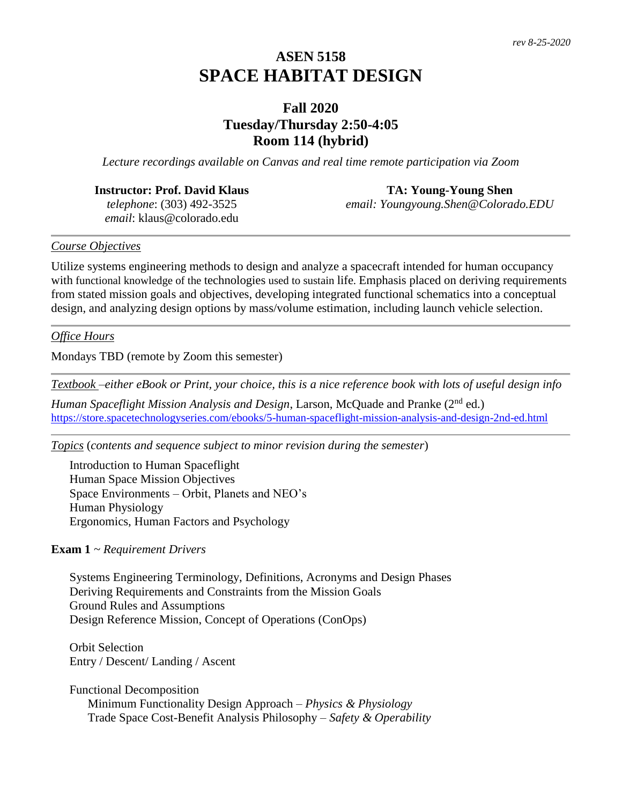# **ASEN 5158 SPACE HABITAT DESIGN**

# **Fall 2020 Tuesday/Thursday 2:50-4:05 Room 114 (hybrid)**

*Lecture recordings available on Canvas and real time remote participation via Zoom*

### **Instructor: Prof. David Klaus**

*telephone*: (303) 492-3525 *email*: klaus@colorado.edu

#### **TA: Young-Young Shen**

*email: Youngyoung.Shen@Colorado.EDU*

#### *Course Objectives*

Utilize systems engineering methods to design and analyze a spacecraft intended for human occupancy with functional knowledge of the technologies used to sustain life. Emphasis placed on deriving requirements from stated mission goals and objectives, developing integrated functional schematics into a conceptual design, and analyzing design options by mass/volume estimation, including launch vehicle selection.

#### *Office Hours*

Mondays TBD (remote by Zoom this semester)

*Textbook –either eBook or Print, your choice, this is a nice reference book with lots of useful design info*

*Human Spaceflight Mission Analysis and Design*, Larson, McQuade and Pranke (2<sup>nd</sup> ed.) <https://store.spacetechnologyseries.com/ebooks/5-human-spaceflight-mission-analysis-and-design-2nd-ed.html>

*Topics* (*contents and sequence subject to minor revision during the semester*)

Introduction to Human Spaceflight Human Space Mission Objectives Space Environments – Orbit, Planets and NEO's Human Physiology Ergonomics, Human Factors and Psychology

#### **Exam 1** *~ Requirement Drivers*

Systems Engineering Terminology, Definitions, Acronyms and Design Phases Deriving Requirements and Constraints from the Mission Goals Ground Rules and Assumptions Design Reference Mission, Concept of Operations (ConOps)

Orbit Selection Entry / Descent/ Landing / Ascent

Functional Decomposition Minimum Functionality Design Approach – *Physics & Physiology* Trade Space Cost-Benefit Analysis Philosophy – *Safety & Operability*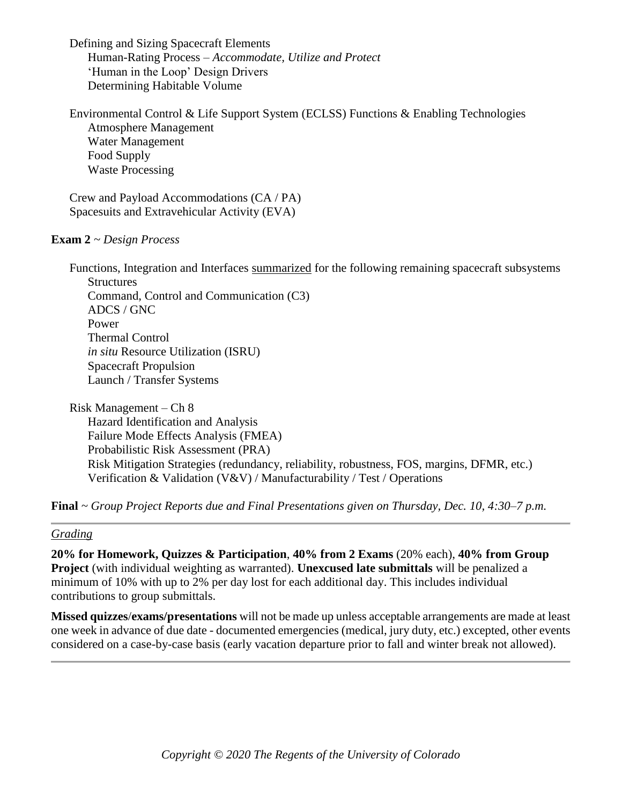Defining and Sizing Spacecraft Elements Human-Rating Process – *Accommodate, Utilize and Protect* 'Human in the Loop' Design Drivers Determining Habitable Volume

Environmental Control & Life Support System (ECLSS) Functions & Enabling Technologies Atmosphere Management Water Management Food Supply Waste Processing

Crew and Payload Accommodations (CA / PA) Spacesuits and Extravehicular Activity (EVA)

#### **Exam 2** *~ Design Process*

Functions, Integration and Interfaces summarized for the following remaining spacecraft subsystems **Structures** Command, Control and Communication (C3) ADCS / GNC Power Thermal Control *in situ* Resource Utilization (ISRU) Spacecraft Propulsion Launch / Transfer Systems

Risk Management – Ch 8 Hazard Identification and Analysis Failure Mode Effects Analysis (FMEA) Probabilistic Risk Assessment (PRA) Risk Mitigation Strategies (redundancy, reliability, robustness, FOS, margins, DFMR, etc.) Verification & Validation (V&V) / Manufacturability / Test / Operations

**Final** *~ Group Project Reports due and Final Presentations given on Thursday, Dec. 10, 4:30–7 p.m.*

#### *Grading*

**20% for Homework, Quizzes & Participation**, **40% from 2 Exams** (20% each), **40% from Group Project** (with individual weighting as warranted). **Unexcused late submittals** will be penalized a minimum of 10% with up to 2% per day lost for each additional day. This includes individual contributions to group submittals.

**Missed quizzes**/**exams/presentations** will not be made up unless acceptable arrangements are made at least one week in advance of due date - documented emergencies (medical, jury duty, etc.) excepted, other events considered on a case-by-case basis (early vacation departure prior to fall and winter break not allowed).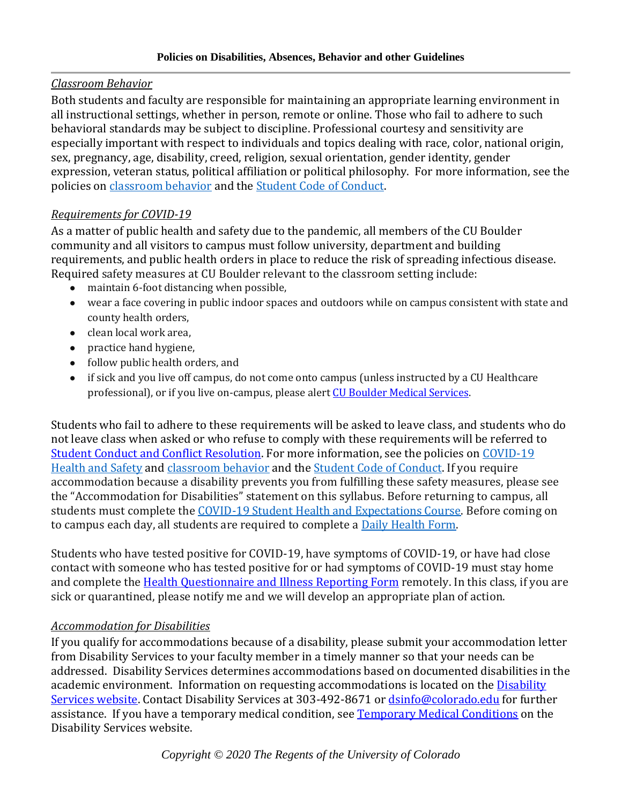### *Classroom Behavior*

Both students and faculty are responsible for maintaining an appropriate learning environment in all instructional settings, whether in person, remote or online. Those who fail to adhere to such behavioral standards may be subject to discipline. Professional courtesy and sensitivity are especially important with respect to individuals and topics dealing with race, color, national origin, sex, pregnancy, age, disability, creed, religion, sexual orientation, gender identity, gender expression, veteran status, political affiliation or political philosophy. For more information, see the policies on [classroom behavior](http://www.colorado.edu/policies/student-classroom-and-course-related-behavior) and the [Student Code of Conduct.](https://www.colorado.edu/sccr/sites/default/files/attached-files/2019-2020_student_code_of_conduct_0.pdf) 

# *Requirements for COVID-19*

As a matter of public health and safety due to the pandemic, all members of the CU Boulder community and all visitors to campus must follow university, department and building requirements, and public health orders in place to reduce the risk of spreading infectious disease. Required safety measures at CU Boulder relevant to the classroom setting include:

- maintain 6-foot distancing when possible,
- wear a face covering in public indoor spaces and outdoors while on campus consistent with state and county health orders,
- clean local work area.
- practice hand hygiene,
- follow public health orders, and
- if sick and you live off campus, do not come onto campus (unless instructed by a CU Healthcare professional), or if you live on-campus, please aler[t CU Boulder Medical Services.](https://www.colorado.edu/healthcenter/coronavirus-updates/symptoms-and-what-do-if-you-feel-sick)

Students who fail to adhere to these requirements will be asked to leave class, and students who do not leave class when asked or who refuse to comply with these requirements will be referred to [Student Conduct and Conflict Resolution.](https://www.colorado.edu/sccr/) For more information, see the policies on [COVID-19](https://www.colorado.edu/policies/covid-19-health-and-safety-policy)  [Health and Safety](https://www.colorado.edu/policies/covid-19-health-and-safety-policy) an[d classroom behavior](http://www.colorado.edu/policies/student-classroom-and-course-related-behavior) and the [Student Code of Conduct.](http://www.colorado.edu/osccr/) If you require accommodation because a disability prevents you from fulfilling these safety measures, please see the "Accommodation for Disabilities" statement on this syllabus. Before returning to campus, all students must complete the [COVID-19 Student Health and Expectations Course.](https://www.colorado.edu/protect-our-herd/how#anchor1) Before coming on to campus each day, all students are required to complete a **Daily Health Form.** 

Students who have tested positive for COVID-19, have symptoms of COVID-19, or have had close contact with someone who has tested positive for or had symptoms of COVID-19 must stay home and complete the [Health Questionnaire and Illness Reporting Form](https://www.colorado.edu/protect-our-herd/daily-health-form) remotely. In this class, if you are sick or quarantined, please notify me and we will develop an appropriate plan of action.

# *Accommodation for Disabilities*

If you qualify for accommodations because of a disability, please submit your accommodation letter from Disability Services to your faculty member in a timely manner so that your needs can be addressed. Disability Services determines accommodations based on documented disabilities in the academic environment. Information on requesting accommodations is located on the [Disability](https://www.colorado.edu/disabilityservices/)  [Services website.](https://www.colorado.edu/disabilityservices/) Contact Disability Services at 303-492-8671 o[r dsinfo@colorado.edu](mailto:dsinfo@colorado.edu) for further assistance. If you have a temporary medical condition, se[e Temporary Medical Conditions](http://www.colorado.edu/disabilityservices/students/temporary-medical-conditions) on the Disability Services website.

*Copyright © 2020 The Regents of the University of Colorado*